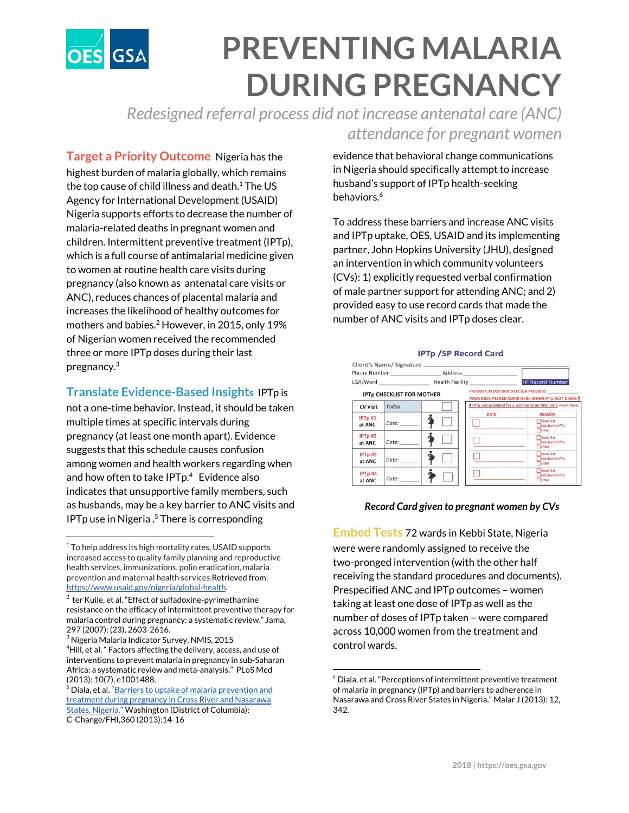

# **PREVENTING MALARIA DURING PREGNANCY**

*Redesigned referral process did not increase antenatal care (ANC) attendance for pregnant women*

**Target a Priority Outcome** Nigeria has the highest burden of malaria globally, which remains the top cause of child illness and death. $1$  The US Agency for International Development (USAID) Nigeria supports efforts to decrease the number of malaria-related deaths in pregnant women and children. Intermittent preventive treatment (IPTp), which is a full course of antimalarial medicine given to women at routine health care visits during pregnancy (also known as antenatal care visits or ANC), reduces chances of placental malaria and increases the likelihood of healthy outcomes for mothers and babies. <sup>2</sup> However, in 2015, only 19% of Nigerian women received the recommended three or more IPTp doses during their last pregnancy. 3

### **Translate Evidence-Based Insights** IPTp is

not a one-time behavior. Instead, it should be taken multiple times at specific intervals during pregnancy (at least one month apart). Evidence suggests that this schedule causes confusion among women and health workers regarding when and how often to take  $IPTp.<sup>4</sup>$  Evidence also indicates that unsupportive family members, such as husbands, may be a key barrier to ANC visits and  $IPTp$  use in Nigeria  $.5$  There is corresponding

evidence that behavioral change communications in Nigeria should specifically attempt to increase husband's support of IPTp health-seeking behaviors. 6

To address these barriers and increase ANC visits and IPTp uptake, OES, USAID and its implementing partner, John Hopkins University (JHU), designed an intervention in which community volunteers (CVs): 1) explicitly requested verbal confirmation of male partner support for attending ANC; and 2) provided easy to use record cards that made the number of ANC visits and IPTp doses clear.



#### *Record Card given to pregnant women by CVs*

**Embed Tests** 72 wards in Kebbi State, Nigeria were were randomly assigned to receive the two-pronged intervention (with the other half receiving the standard procedures and documents). Prespecified ANC and IPTp outcomes – women taking at least one dose of IPTp as well as the number of doses of IPTp taken – were compared across 10,000 women from the treatment and control wards.

 $1$ <sup>T</sup> To help address its high mortality rates, USAID supports increased access to quality family planning and reproductive health services, immunizations, polio eradication, malaria prevention and maternal health services.Retrieved from: <https://www.usaid.gov/nigeria/global-health>.

 $^2$  ter Kuile, et al. "Effect of sulfadoxine-pyrimethamine resistance on the efficacy of intermittent preventive therapy for malaria control during pregnancy: a systematic review." Jama, 297 (2007): (23), 2603-2616.

 $^3$  Nigeria Malaria Indicator Survey, NMIS, 2015  ${}^{4}$ Hill, et al.  ${}^{e}$  Factors affecting the delivery, access, and use of interventions to prevent malaria in pregnancy in sub-Saharan Africa: a systematic review and meta-analysis." PLoS Med (2013): 10(7), e1001488.

<sup>&</sup>lt;sup>5</sup> Diala, et al. "<u>Barriers to uptake of malaria [prevention](https://www.c-changeprogram.org/sites/default/files/Barriers-to-Uptake-of-Malaria-Prevention-and-Treatment.pdf) and</u> treatment during [pregnancy](https://www.c-changeprogram.org/sites/default/files/Barriers-to-Uptake-of-Malaria-Prevention-and-Treatment.pdf) in Cross River and Nasarawa States, [Nigeria.](https://www.c-changeprogram.org/sites/default/files/Barriers-to-Uptake-of-Malaria-Prevention-and-Treatment.pdf)" Washington (District of Columbia): C-Change/FHI,360 (2013):14-16

 $6$  Diala, et al. "Perceptions of intermittent preventive treatment of malaria in pregnancy (IPTp) and barriers to adherence in Nasarawa and Cross River States in Nigeria." Malar J (2013): 12, 342.